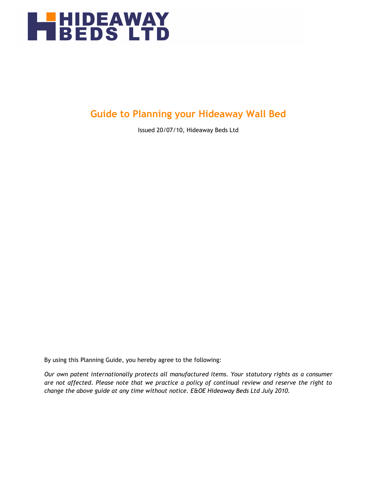

### **Guide to Planning your Hideaway Wall Bed**

Issued 20/07/10, Hideaway Beds Ltd

By using this Planning Guide, you hereby agree to the following:

*Our own patent internationally protects all manufactured items. Your statutory rights as a consumer are not affected. Please note that we practice a policy of continual review and reserve the right to change the above guide at any time without notice. E&OE Hideaway Beds Ltd July 2010.*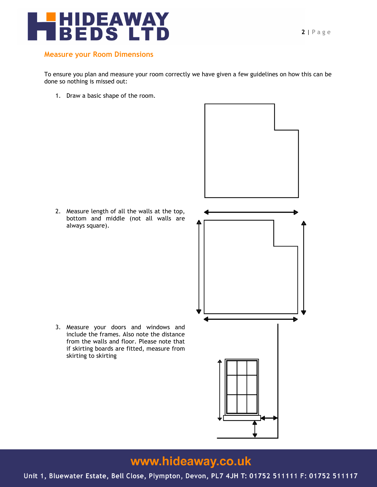

#### **Measure your Room Dimensions**

To ensure you plan and measure your room correctly we have given a few guidelines on how this can be done so nothing is missed out:

1. Draw a basic shape of the room.

2. Measure length of all the walls at the top, bottom and middle (not all walls are always square).

3. Measure your doors and windows and include the frames. Also note the distance from the walls and floor. Please note that if skirting boards are fitted, measure from

skirting to skirting



# www.hideaway.co.uk

Unit 1, Bluewater Estate, Bell Close, Plympton, Devon, PL7 4JH T: 01752 511111 F: 01752 511117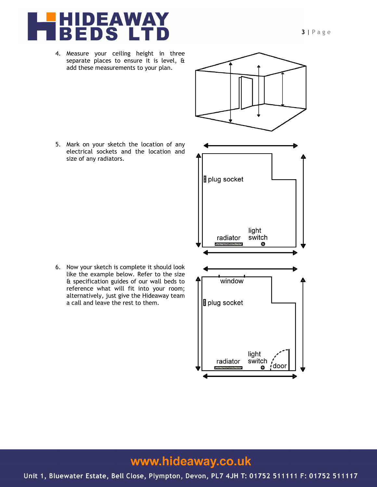

- 4. Measure your ceiling height in three separate places to ensure it is level, & add these measurements to your plan.
- plug socket light radiator switch  $\mathcal{H}$ window plug socket light radiator switch , door a.
- 5. Mark on your sketch the location of any electrical sockets and the location and size of any radiators.

6. Now your sketch is complete it should look like the example below. Refer to the size & specification guides of our wall beds to reference what will fit into your room; alternatively, just give the Hideaway team a call and leave the rest to them.

# www.hideaway.co.uk

Unit 1, Bluewater Estate, Bell Close, Plympton, Devon, PL7 4JH T: 01752 511111 F: 01752 511117